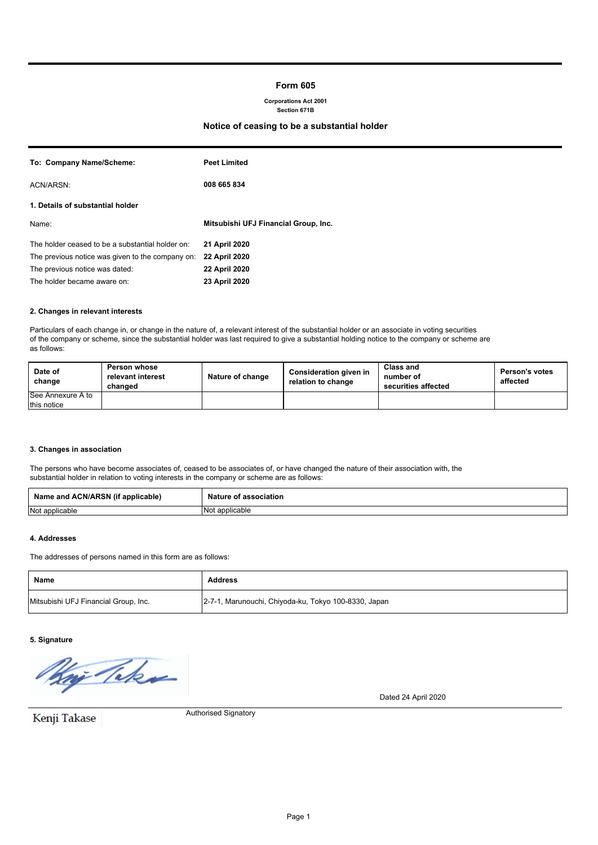## **Form 605**

## **Corporations Act 2001**

# **Section 671B**

# **Notice of ceasing to be a substantial holder**

| To: Company Name/Scheme:                         | <b>Peet Limited</b>                  |
|--------------------------------------------------|--------------------------------------|
| ACN/ARSN:                                        | 008 665 834                          |
| 1. Details of substantial holder                 |                                      |
| Name:                                            | Mitsubishi UFJ Financial Group, Inc. |
| The holder ceased to be a substantial holder on: | 21 April 2020                        |
| The previous notice was given to the company on: | <b>22 April 2020</b>                 |
| The previous notice was dated:                   | 22 April 2020                        |
| The holder became aware on:                      | 23 April 2020                        |

#### **2. Changes in relevant interests**

Particulars of each change in, or change in the nature of, a relevant interest of the substantial holder or an associate in voting securities of the company or scheme, since the substantial holder was last required to give a substantial holding notice to the company or scheme are as follows:

| Date of<br>change | <b>Person whose</b><br>relevant interest<br>changed | Nature of change | Consideration given in<br>relation to change | <b>Class and</b><br>number of<br>securities affected | Person's votes<br>affected |
|-------------------|-----------------------------------------------------|------------------|----------------------------------------------|------------------------------------------------------|----------------------------|
| See Annexure A to |                                                     |                  |                                              |                                                      |                            |
| this notice       |                                                     |                  |                                              |                                                      |                            |

#### **3. Changes in association**

The persons who have become associates of, ceased to be associates of, or have changed the nature of their association with, the substantial holder in relation to voting interests in the company or scheme are as follows:

| e and ACN/ARSN (if<br><br>Name<br>applicable) | Nature<br>association<br>$\mathbf{\Omega}$ |
|-----------------------------------------------|--------------------------------------------|
| Not applicable                                | <b>No</b><br>: applicable                  |

### **4. Addresses**

The addresses of persons named in this form are as follows:

| Name                                 | <b>Address</b>                                       |
|--------------------------------------|------------------------------------------------------|
| Mitsubishi UFJ Financial Group, Inc. | 2-7-1, Marunouchi, Chiyoda-ku, Tokyo 100-8330, Japan |

**5. Signature**

Way Take

Dated 24 April 2020

Kenji Takase

Authorised Signatory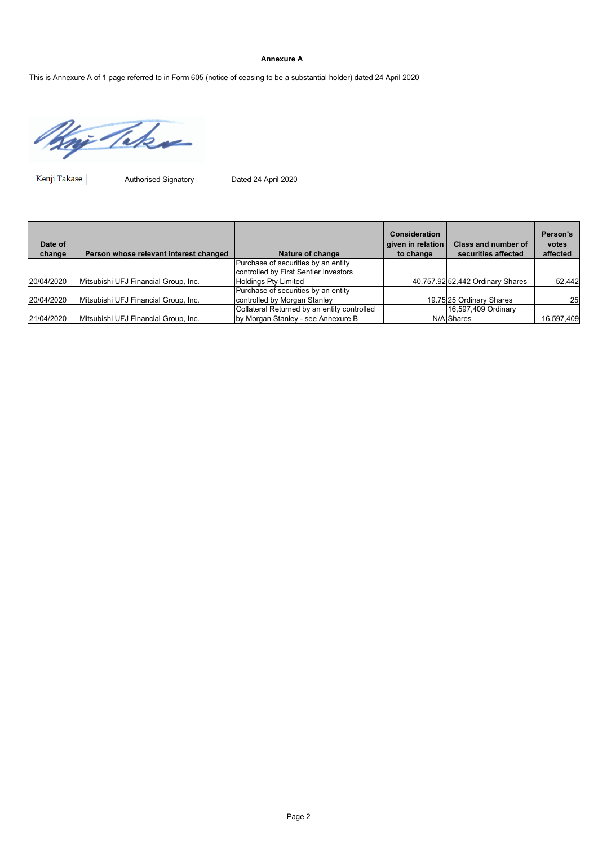#### **Annexure A**

This is Annexure A of 1 page referred to in Form 605 (notice of ceasing to be a substantial holder) dated 24 April 2020

When

Authorised Signatory Dated 24 April 2020

| Date of<br>change | Person whose relevant interest changed | Nature of change                            | Consideration<br>given in relation<br>to change | Class and number of<br>securities affected | Person's<br>votes<br>affected |
|-------------------|----------------------------------------|---------------------------------------------|-------------------------------------------------|--------------------------------------------|-------------------------------|
|                   |                                        | Purchase of securities by an entity         |                                                 |                                            |                               |
|                   |                                        | controlled by First Sentier Investors       |                                                 |                                            |                               |
| 20/04/2020        | Mitsubishi UFJ Financial Group, Inc.   | <b>Holdings Pty Limited</b>                 |                                                 | 40,757.92 52,442 Ordinary Shares           | 52,442                        |
|                   |                                        | Purchase of securities by an entity         |                                                 |                                            |                               |
| 20/04/2020        | Mitsubishi UFJ Financial Group, Inc.   | controlled by Morgan Stanley                |                                                 | 19.75 25 Ordinary Shares                   | 25                            |
|                   |                                        | Collateral Returned by an entity controlled |                                                 | 16,597,409 Ordinary                        |                               |
| 21/04/2020        | Mitsubishi UFJ Financial Group, Inc.   | by Morgan Stanley - see Annexure B          |                                                 | N/A Shares                                 | 16.597.409                    |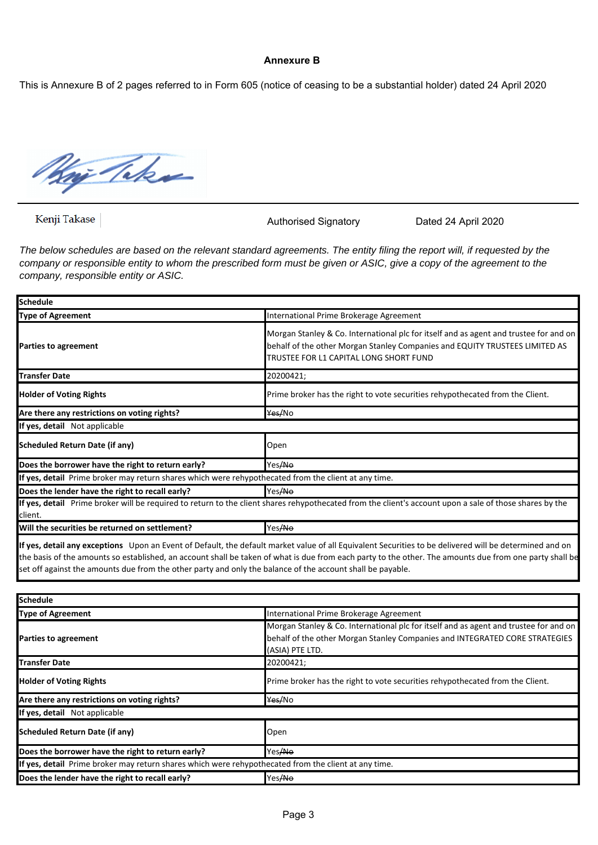# **Annexure B**

This is Annexure B of 2 pages referred to in Form 605 (notice of ceasing to be a substantial holder) dated 24 April 2020

in Take

Kenji Takase

Authorised Signatory Dated 24 April 2020

*The below schedules are based on the relevant standard agreements. The entity filing the report will, if requested by the*  company or responsible entity to whom the prescribed form must be given or ASIC, give a copy of the agreement to the *company, responsible entity or ASIC.*

| <b>Schedule</b>                                                                                            |                                                                                                                                                                                                                                                                                                                    |
|------------------------------------------------------------------------------------------------------------|--------------------------------------------------------------------------------------------------------------------------------------------------------------------------------------------------------------------------------------------------------------------------------------------------------------------|
| <b>Type of Agreement</b>                                                                                   | International Prime Brokerage Agreement                                                                                                                                                                                                                                                                            |
| <b>Parties to agreement</b>                                                                                | Morgan Stanley & Co. International plc for itself and as agent and trustee for and on<br>behalf of the other Morgan Stanley Companies and EQUITY TRUSTEES LIMITED AS<br>TRUSTEE FOR L1 CAPITAL LONG SHORT FUND                                                                                                     |
| <b>Transfer Date</b>                                                                                       | 20200421;                                                                                                                                                                                                                                                                                                          |
| <b>Holder of Voting Rights</b>                                                                             | Prime broker has the right to vote securities rehypothecated from the Client.                                                                                                                                                                                                                                      |
| Are there any restrictions on voting rights?                                                               | Yes/No                                                                                                                                                                                                                                                                                                             |
| If yes, detail Not applicable                                                                              |                                                                                                                                                                                                                                                                                                                    |
| <b>Scheduled Return Date (if any)</b>                                                                      | Open                                                                                                                                                                                                                                                                                                               |
| Does the borrower have the right to return early?                                                          | Yes <del>/No</del>                                                                                                                                                                                                                                                                                                 |
| If yes, detail Prime broker may return shares which were rehypothecated from the client at any time.       |                                                                                                                                                                                                                                                                                                                    |
| Does the lender have the right to recall early?                                                            | Yes <del>/No</del>                                                                                                                                                                                                                                                                                                 |
| client.                                                                                                    | If yes, detail Prime broker will be required to return to the client shares rehypothecated from the client's account upon a sale of those shares by the                                                                                                                                                            |
| Will the securities be returned on settlement?                                                             | Yes/No                                                                                                                                                                                                                                                                                                             |
| set off against the amounts due from the other party and only the balance of the account shall be payable. | If yes, detail any exceptions Upon an Event of Default, the default market value of all Equivalent Securities to be delivered will be determined and on<br>the basis of the amounts so established, an account shall be taken of what is due from each party to the other. The amounts due from one party shall be |

| <b>Schedule</b>                                                                                      |                                                                                                                                                                                         |  |
|------------------------------------------------------------------------------------------------------|-----------------------------------------------------------------------------------------------------------------------------------------------------------------------------------------|--|
| Type of Agreement                                                                                    | International Prime Brokerage Agreement                                                                                                                                                 |  |
| <b>Parties to agreement</b>                                                                          | Morgan Stanley & Co. International plc for itself and as agent and trustee for and on<br>behalf of the other Morgan Stanley Companies and INTEGRATED CORE STRATEGIES<br>(ASIA) PTE LTD. |  |
| <b>Transfer Date</b>                                                                                 | 20200421;                                                                                                                                                                               |  |
| <b>Holder of Voting Rights</b>                                                                       | Prime broker has the right to vote securities rehypothecated from the Client.                                                                                                           |  |
| Are there any restrictions on voting rights?                                                         | Yes/No                                                                                                                                                                                  |  |
| If yes, detail Not applicable                                                                        |                                                                                                                                                                                         |  |
| Scheduled Return Date (if any)                                                                       | Open                                                                                                                                                                                    |  |
| Does the borrower have the right to return early?<br>Yes <del>/No</del>                              |                                                                                                                                                                                         |  |
| If yes, detail Prime broker may return shares which were rehypothecated from the client at any time. |                                                                                                                                                                                         |  |
| Does the lender have the right to recall early?                                                      | Yes/No                                                                                                                                                                                  |  |